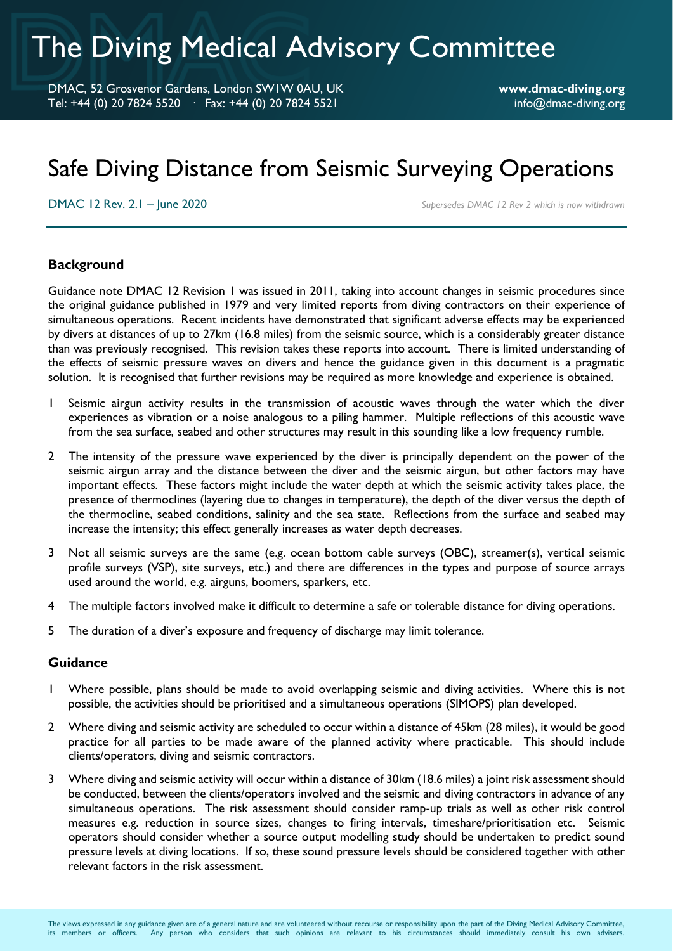# The Diving Medical Advisory Committee

DMAC, 52 Grosvenor Gardens, London SW1W 0AU, UK **www.dmac-diving.org** Tel: +44 (0) 20 7824 5520 · Fax: +44 (0) 20 7824 5521 info@dmac-diving.org

## Safe Diving Distance from Seismic Surveying Operations

DMAC 12 Rev. 2.1 – June 2020 *Supersedes DMAC 12 Rev 2 which is now withdrawn*

#### **Background**

Guidance note DMAC 12 Revision 1 was issued in 2011, taking into account changes in seismic procedures since the original guidance published in 1979 and very limited reports from diving contractors on their experience of simultaneous operations. Recent incidents have demonstrated that significant adverse effects may be experienced by divers at distances of up to 27km (16.8 miles) from the seismic source, which is a considerably greater distance than was previously recognised. This revision takes these reports into account. There is limited understanding of the effects of seismic pressure waves on divers and hence the guidance given in this document is a pragmatic solution. It is recognised that further revisions may be required as more knowledge and experience is obtained.

- 1 Seismic airgun activity results in the transmission of acoustic waves through the water which the diver experiences as vibration or a noise analogous to a piling hammer. Multiple reflections of this acoustic wave from the sea surface, seabed and other structures may result in this sounding like a low frequency rumble.
- 2 The intensity of the pressure wave experienced by the diver is principally dependent on the power of the seismic airgun array and the distance between the diver and the seismic airgun, but other factors may have important effects. These factors might include the water depth at which the seismic activity takes place, the presence of thermoclines (layering due to changes in temperature), the depth of the diver versus the depth of the thermocline, seabed conditions, salinity and the sea state. Reflections from the surface and seabed may increase the intensity; this effect generally increases as water depth decreases.
- 3 Not all seismic surveys are the same (e.g. ocean bottom cable surveys (OBC), streamer(s), vertical seismic profile surveys (VSP), site surveys, etc.) and there are differences in the types and purpose of source arrays used around the world, e.g. airguns, boomers, sparkers, etc.
- 4 The multiple factors involved make it difficult to determine a safe or tolerable distance for diving operations.
- 5 The duration of a diver's exposure and frequency of discharge may limit tolerance.

#### **Guidance**

- 1 Where possible, plans should be made to avoid overlapping seismic and diving activities. Where this is not possible, the activities should be prioritised and a simultaneous operations (SIMOPS) plan developed.
- 2 Where diving and seismic activity are scheduled to occur within a distance of 45km (28 miles), it would be good practice for all parties to be made aware of the planned activity where practicable. This should include clients/operators, diving and seismic contractors.
- 3 Where diving and seismic activity will occur within a distance of 30km (18.6 miles) a joint risk assessment should be conducted, between the clients/operators involved and the seismic and diving contractors in advance of any simultaneous operations. The risk assessment should consider ramp-up trials as well as other risk control measures e.g. reduction in source sizes, changes to firing intervals, timeshare/prioritisation etc. Seismic operators should consider whether a source output modelling study should be undertaken to predict sound pressure levels at diving locations. If so, these sound pressure levels should be considered together with other relevant factors in the risk assessment.